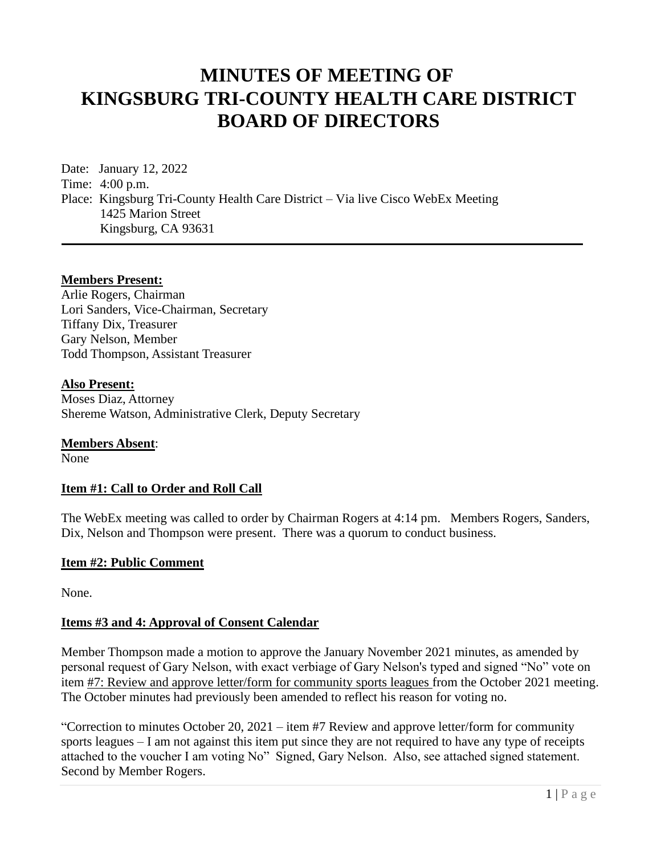# **MINUTES OF MEETING OF KINGSBURG TRI-COUNTY HEALTH CARE DISTRICT BOARD OF DIRECTORS**

Date: January 12, 2022 Time: 4:00 p.m. Place: Kingsburg Tri-County Health Care District – Via live Cisco WebEx Meeting 1425 Marion Street Kingsburg, CA 93631

#### **Members Present:**

Arlie Rogers, Chairman Lori Sanders, Vice-Chairman, Secretary Tiffany Dix, Treasurer Gary Nelson, Member Todd Thompson, Assistant Treasurer

#### **Also Present:**

Moses Diaz, Attorney Shereme Watson, Administrative Clerk, Deputy Secretary

#### **Members Absent**:

None

#### **Item #1: Call to Order and Roll Call**

The WebEx meeting was called to order by Chairman Rogers at 4:14 pm. Members Rogers, Sanders, Dix, Nelson and Thompson were present. There was a quorum to conduct business.

#### **Item #2: Public Comment**

None.

#### **Items #3 and 4: Approval of Consent Calendar**

Member Thompson made a motion to approve the January November 2021 minutes, as amended by personal request of Gary Nelson, with exact verbiage of Gary Nelson's typed and signed "No" vote on item #7: Review and approve letter/form for community sports leagues from the October 2021 meeting. The October minutes had previously been amended to reflect his reason for voting no.

"Correction to minutes October 20, 2021 – item #7 Review and approve letter/form for community sports leagues – I am not against this item put since they are not required to have any type of receipts attached to the voucher I am voting No" Signed, Gary Nelson. Also, see attached signed statement. Second by Member Rogers.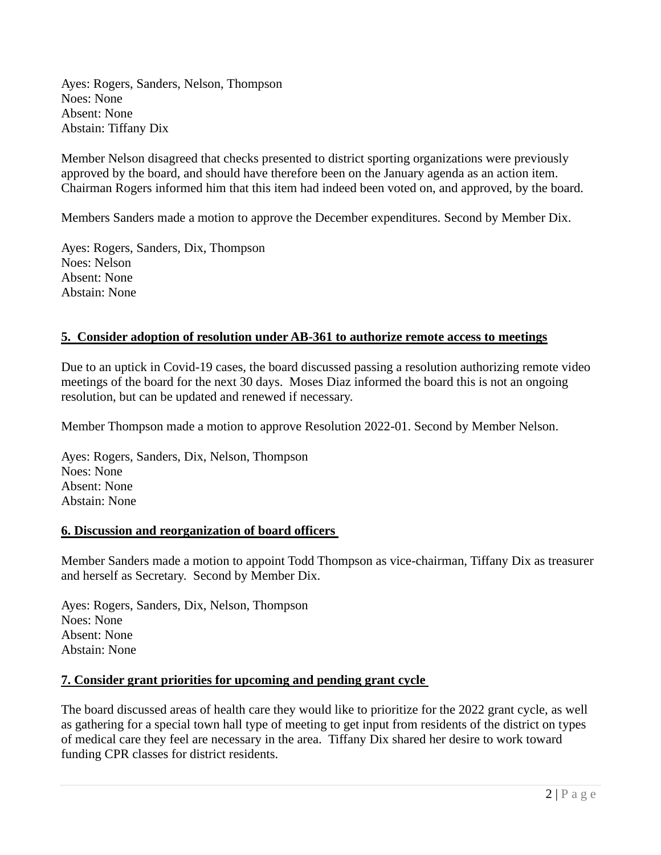Ayes: Rogers, Sanders, Nelson, Thompson Noes: None Absent: None Abstain: Tiffany Dix

Member Nelson disagreed that checks presented to district sporting organizations were previously approved by the board, and should have therefore been on the January agenda as an action item. Chairman Rogers informed him that this item had indeed been voted on, and approved, by the board.

Members Sanders made a motion to approve the December expenditures. Second by Member Dix.

Ayes: Rogers, Sanders, Dix, Thompson Noes: Nelson Absent: None Abstain: None

### **5. Consider adoption of resolution under AB-361 to authorize remote access to meetings**

Due to an uptick in Covid-19 cases, the board discussed passing a resolution authorizing remote video meetings of the board for the next 30 days. Moses Diaz informed the board this is not an ongoing resolution, but can be updated and renewed if necessary.

Member Thompson made a motion to approve Resolution 2022-01. Second by Member Nelson.

Ayes: Rogers, Sanders, Dix, Nelson, Thompson Noes: None Absent: None Abstain: None

#### **6. Discussion and reorganization of board officers**

Member Sanders made a motion to appoint Todd Thompson as vice-chairman, Tiffany Dix as treasurer and herself as Secretary. Second by Member Dix.

Ayes: Rogers, Sanders, Dix, Nelson, Thompson Noes: None Absent: None Abstain: None

#### **7. Consider grant priorities for upcoming and pending grant cycle**

The board discussed areas of health care they would like to prioritize for the 2022 grant cycle, as well as gathering for a special town hall type of meeting to get input from residents of the district on types of medical care they feel are necessary in the area. Tiffany Dix shared her desire to work toward funding CPR classes for district residents.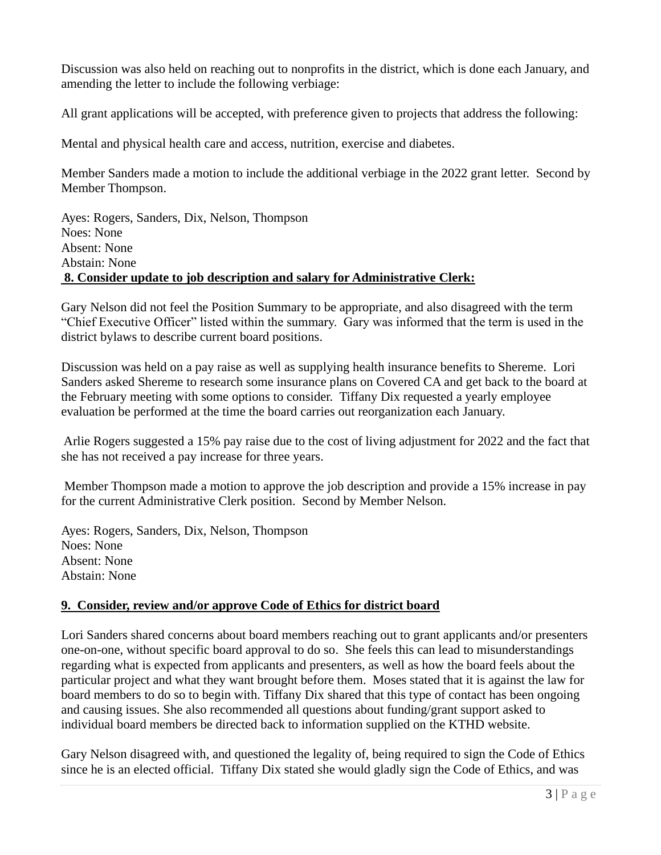Discussion was also held on reaching out to nonprofits in the district, which is done each January, and amending the letter to include the following verbiage:

All grant applications will be accepted, with preference given to projects that address the following:

Mental and physical health care and access, nutrition, exercise and diabetes.

Member Sanders made a motion to include the additional verbiage in the 2022 grant letter. Second by Member Thompson.

Ayes: Rogers, Sanders, Dix, Nelson, Thompson Noes: None Absent: None Abstain: None **8. Consider update to job description and salary for Administrative Clerk:**

Gary Nelson did not feel the Position Summary to be appropriate, and also disagreed with the term "Chief Executive Officer" listed within the summary. Gary was informed that the term is used in the district bylaws to describe current board positions.

Discussion was held on a pay raise as well as supplying health insurance benefits to Shereme. Lori Sanders asked Shereme to research some insurance plans on Covered CA and get back to the board at the February meeting with some options to consider. Tiffany Dix requested a yearly employee evaluation be performed at the time the board carries out reorganization each January.

Arlie Rogers suggested a 15% pay raise due to the cost of living adjustment for 2022 and the fact that she has not received a pay increase for three years.

Member Thompson made a motion to approve the job description and provide a 15% increase in pay for the current Administrative Clerk position. Second by Member Nelson.

Ayes: Rogers, Sanders, Dix, Nelson, Thompson Noes: None Absent: None Abstain: None

# **9. Consider, review and/or approve Code of Ethics for district board**

Lori Sanders shared concerns about board members reaching out to grant applicants and/or presenters one-on-one, without specific board approval to do so. She feels this can lead to misunderstandings regarding what is expected from applicants and presenters, as well as how the board feels about the particular project and what they want brought before them. Moses stated that it is against the law for board members to do so to begin with. Tiffany Dix shared that this type of contact has been ongoing and causing issues. She also recommended all questions about funding/grant support asked to individual board members be directed back to information supplied on the KTHD website.

Gary Nelson disagreed with, and questioned the legality of, being required to sign the Code of Ethics since he is an elected official. Tiffany Dix stated she would gladly sign the Code of Ethics, and was